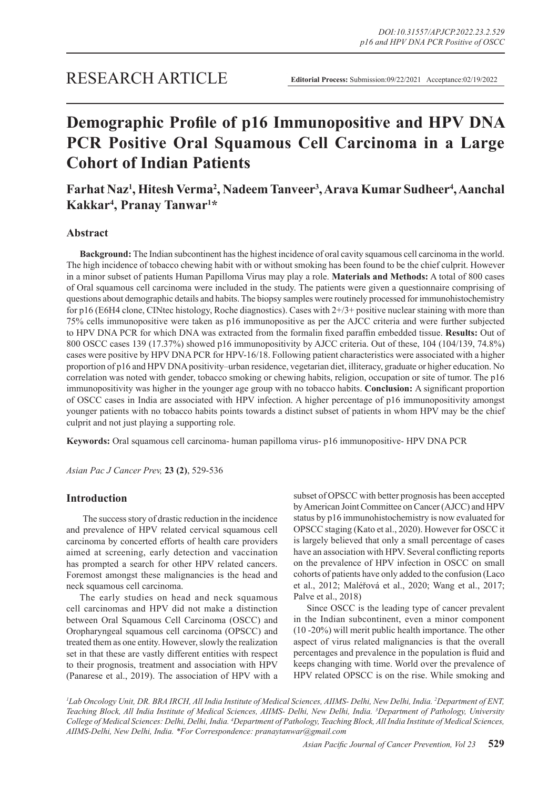# **Demographic Profile of p16 Immunopositive and HPV DNA PCR Positive Oral Squamous Cell Carcinoma in a Large Cohort of Indian Patients**

## **Farhat Naz1 , Hitesh Verma<sup>2</sup> , Nadeem Tanveer<sup>3</sup> , Arava Kumar Sudheer<sup>4</sup> , Aanchal Kakkar4 , Pranay Tanwar1 \***

## **Abstract**

**Background:** The Indian subcontinent has the highest incidence of oral cavity squamous cell carcinoma in the world. The high incidence of tobacco chewing habit with or without smoking has been found to be the chief culprit. However in a minor subset of patients Human Papilloma Virus may play a role. **Materials and Methods:** A total of 800 cases of Oral squamous cell carcinoma were included in the study. The patients were given a questionnaire comprising of questions about demographic details and habits. The biopsy samples were routinely processed for immunohistochemistry for p16 (E6H4 clone, CINtec histology, Roche diagnostics). Cases with 2+/3+ positive nuclear staining with more than 75% cells immunopositive were taken as p16 immunopositive as per the AJCC criteria and were further subjected to HPV DNA PCR for which DNA was extracted from the formalin fixed paraffin embedded tissue. **Results:** Out of 800 OSCC cases 139 (17.37%) showed p16 immunopositivity by AJCC criteria. Out of these, 104 (104/139, 74.8%) cases were positive by HPV DNA PCR for HPV-16/18. Following patient characteristics were associated with a higher proportion of p16 and HPV DNA positivity–urban residence, vegetarian diet, illiteracy, graduate or higher education. No correlation was noted with gender, tobacco smoking or chewing habits, religion, occupation or site of tumor. The p16 immunopositivity was higher in the younger age group with no tobacco habits. **Conclusion:** A significant proportion of OSCC cases in India are associated with HPV infection. A higher percentage of p16 immunopositivity amongst younger patients with no tobacco habits points towards a distinct subset of patients in whom HPV may be the chief culprit and not just playing a supporting role.

**Keywords:** Oral squamous cell carcinoma- human papilloma virus- p16 immunopositive- HPV DNA PCR

*Asian Pac J Cancer Prev,* **23 (2)**, 529-536

## **Introduction**

 The success story of drastic reduction in the incidence and prevalence of HPV related cervical squamous cell carcinoma by concerted efforts of health care providers aimed at screening, early detection and vaccination has prompted a search for other HPV related cancers. Foremost amongst these malignancies is the head and neck squamous cell carcinoma.

The early studies on head and neck squamous cell carcinomas and HPV did not make a distinction between Oral Squamous Cell Carcinoma (OSCC) and Oropharyngeal squamous cell carcinoma (OPSCC) and treated them as one entity. However, slowly the realization set in that these are vastly different entities with respect to their prognosis, treatment and association with HPV (Panarese et al., 2019). The association of HPV with a subset of OPSCC with better prognosis has been accepted by American Joint Committee on Cancer (AJCC) and HPV status by p16 immunohistochemistry is now evaluated for OPSCC staging (Kato et al., 2020). However for OSCC it is largely believed that only a small percentage of cases have an association with HPV. Several conflicting reports on the prevalence of HPV infection in OSCC on small cohorts of patients have only added to the confusion (Laco et al., 2012; Maléřová et al., 2020; Wang et al., 2017; Palve et al., 2018)

Since OSCC is the leading type of cancer prevalent in the Indian subcontinent, even a minor component (10 -20%) will merit public health importance. The other aspect of virus related malignancies is that the overall percentages and prevalence in the population is fluid and keeps changing with time. World over the prevalence of HPV related OPSCC is on the rise. While smoking and

*1 Lab Oncology Unit, DR. BRA IRCH, All India Institute of Medical Sciences, AIIMS- Delhi, New Delhi, India. 2 Department of ENT, Teaching Block, All India Institute of Medical Sciences, AIIMS- Delhi, New Delhi, India. 3 Department of Pathology, University College of Medical Sciences: Delhi, Delhi, India. 4 Department of Pathology, Teaching Block, All India Institute of Medical Sciences, AIIMS-Delhi, New Delhi, India. \*For Correspondence: pranaytanwar@gmail.com*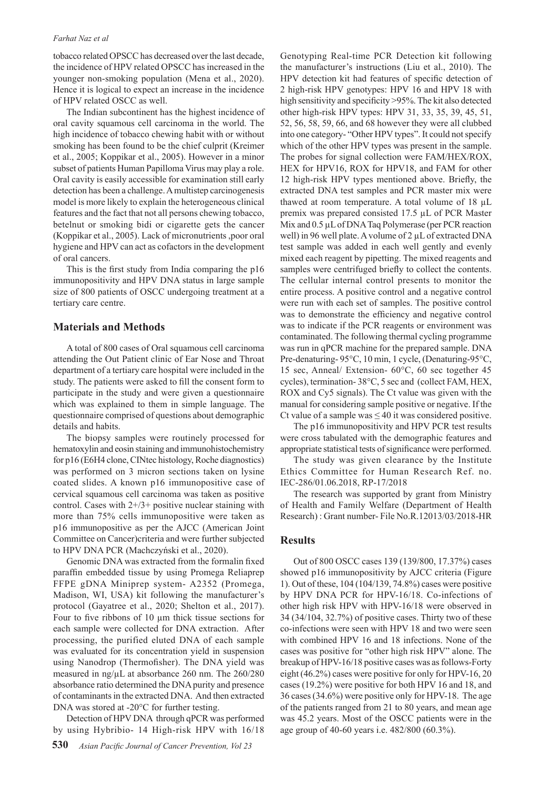#### *Farhat Naz et al*

tobacco related OPSCC has decreased over the last decade, the incidence of HPV related OPSCC has increased in the younger non-smoking population (Mena et al., 2020). Hence it is logical to expect an increase in the incidence of HPV related OSCC as well.

The Indian subcontinent has the highest incidence of oral cavity squamous cell carcinoma in the world. The high incidence of tobacco chewing habit with or without smoking has been found to be the chief culprit (Kreimer et al., 2005; Koppikar et al., 2005). However in a minor subset of patients Human Papilloma Virus may play a role. Oral cavity is easily accessible for examination still early detection has been a challenge. A multistep carcinogenesis model is more likely to explain the heterogeneous clinical features and the fact that not all persons chewing tobacco, betelnut or smoking bidi or cigarette gets the cancer (Koppikar et al., 2005). Lack of micronutrients ,poor oral hygiene and HPV can act as cofactors in the development of oral cancers.

This is the first study from India comparing the p16 immunopositivity and HPV DNA status in large sample size of 800 patients of OSCC undergoing treatment at a tertiary care centre.

### **Materials and Methods**

A total of 800 cases of Oral squamous cell carcinoma attending the Out Patient clinic of Ear Nose and Throat department of a tertiary care hospital were included in the study. The patients were asked to fill the consent form to participate in the study and were given a questionnaire which was explained to them in simple language. The questionnaire comprised of questions about demographic details and habits.

The biopsy samples were routinely processed for hematoxylin and eosin staining and immunohistochemistry for p16 (E6H4 clone, CINtec histology, Roche diagnostics) was performed on 3 micron sections taken on lysine coated slides. A known p16 immunopositive case of cervical squamous cell carcinoma was taken as positive control. Cases with 2+/3+ positive nuclear staining with more than 75% cells immunopositive were taken as p16 immunopositive as per the AJCC (American Joint Committee on Cancer)criteria and were further subjected to HPV DNA PCR (Machczyński et al., 2020).

Genomic DNA was extracted from the formalin fixed paraffin embedded tissue by using Promega Reliaprep FFPE gDNA Miniprep system- A2352 (Promega, Madison, WI, USA) kit following the manufacturer's protocol (Gayatree et al., 2020; Shelton et al., 2017). Four to five ribbons of 10 µm thick tissue sections for each sample were collected for DNA extraction. After processing, the purified eluted DNA of each sample was evaluated for its concentration yield in suspension using Nanodrop (Thermofisher). The DNA yield was measured in ng/µL at absorbance 260 nm. The 260/280 absorbance ratio determined the DNA purity and presence of contaminants in the extracted DNA. And then extracted DNA was stored at -20°C for further testing.

Detection of HPV DNA through qPCR was performed by using Hybribio- 14 High-risk HPV with 16/18 Genotyping Real-time PCR Detection kit following the manufacturer's instructions (Liu et al., 2010). The HPV detection kit had features of specific detection of 2 high-risk HPV genotypes: HPV 16 and HPV 18 with high sensitivity and specificity >95%. The kit also detected other high-risk HPV types: HPV 31, 33, 35, 39, 45, 51, 52, 56, 58, 59, 66, and 68 however they were all clubbed into one category- "Other HPV types". It could not specify which of the other HPV types was present in the sample. The probes for signal collection were FAM/HEX/ROX, HEX for HPV16, ROX for HPV18, and FAM for other 12 high-risk HPV types mentioned above. Briefly, the extracted DNA test samples and PCR master mix were thawed at room temperature. A total volume of 18 µL premix was prepared consisted 17.5 µL of PCR Master Mix and  $0.5 \mu L$  of DNA Taq Polymerase (per PCR reaction well) in 96 well plate. A volume of 2  $\mu$ L of extracted DNA test sample was added in each well gently and evenly mixed each reagent by pipetting. The mixed reagents and samples were centrifuged briefly to collect the contents. The cellular internal control presents to monitor the entire process. A positive control and a negative control were run with each set of samples. The positive control was to demonstrate the efficiency and negative control was to indicate if the PCR reagents or environment was contaminated. The following thermal cycling programme was run in qPCR machine for the prepared sample. DNA Pre-denaturing- 95°C, 10 min, 1 cycle, (Denaturing-95°C, 15 sec, Anneal/ Extension- 60°C, 60 sec together 45 cycles), termination- 38°C, 5 sec and (collect FAM, HEX, ROX and Cy5 signals). The Ct value was given with the manual for considering sample positive or negative. If the Ct value of a sample was  $\leq 40$  it was considered positive.

The p16 immunopositivity and HPV PCR test results were cross tabulated with the demographic features and appropriate statistical tests of significance were performed.

The study was given clearance by the Institute Ethics Committee for Human Research Ref. no. IEC-286/01.06.2018, RP-17/2018

The research was supported by grant from Ministry of Health and Family Welfare (Department of Health Research) : Grant number- File No.R.12013/03/2018-HR

#### **Results**

Out of 800 OSCC cases 139 (139/800, 17.37%) cases showed p16 immunopositivity by AJCC criteria (Figure 1). Out of these, 104 (104/139, 74.8%) cases were positive by HPV DNA PCR for HPV-16/18. Co-infections of other high risk HPV with HPV-16/18 were observed in 34 (34/104, 32.7%) of positive cases. Thirty two of these co-infections were seen with HPV 18 and two were seen with combined HPV 16 and 18 infections. None of the cases was positive for "other high risk HPV" alone. The breakup of HPV-16/18 positive cases was as follows-Forty eight (46.2%) cases were positive for only for HPV-16, 20 cases (19.2%) were positive for both HPV 16 and 18, and 36 cases (34.6%) were positive only for HPV-18. The age of the patients ranged from 21 to 80 years, and mean age was 45.2 years. Most of the OSCC patients were in the age group of 40-60 years i.e. 482/800 (60.3%).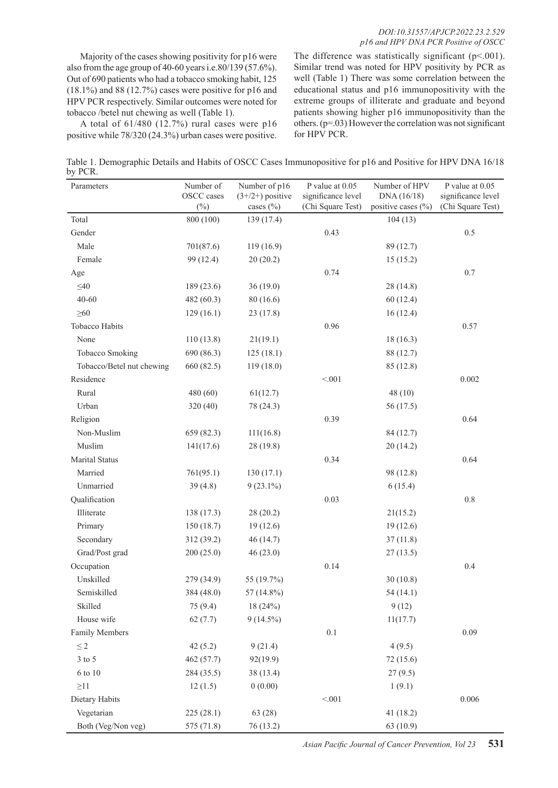Majority of the cases showing positivity for p16 were also from the age group of 40-60 years i.e.80/139 (57.6%). Out of 690 patients who had a tobacco smoking habit, 125  $(18.1\%)$  and 88  $(12.7\%)$  cases were positive for p16 and HPV PCR respectively. Similar outcomes were noted for tobacco /betel nut chewing as well (Table 1).

A total of 61/480 (12.7%) rural cases were p16 positive while 78/320 (24.3%) urban cases were positive.

The difference was statistically significant ( $p$ <.001). Similar trend was noted for HPV positivity by PCR as well (Table 1) There was some correlation between the educational status and p16 immunopositivity with the extreme groups of illiterate and graduate and beyond patients showing higher p16 immunopositivity than the others. (p=.03) However the correlation was not significant for HPV PCR.

Table 1. Demographic Details and Habits of OSCC Cases Immunopositive for p16 and Positive for HPV DNA 16/18 by PCR.

| Parameters                | Number of<br>OSCC cases<br>$(\%)$ | Number of p16<br>$(3+/2+)$ positive<br>cases $(\% )$ | P value at 0.05<br>significance level<br>(Chi Square Test) | Number of HPV<br>DNA (16/18)<br>positive cases (%) | P value at 0.05<br>significance level<br>(Chi Square Test) |
|---------------------------|-----------------------------------|------------------------------------------------------|------------------------------------------------------------|----------------------------------------------------|------------------------------------------------------------|
| Total                     | 800 (100)                         | 139 (17.4)                                           |                                                            | 104(13)                                            |                                                            |
| Gender                    |                                   |                                                      | 0.43                                                       |                                                    | $0.5\,$                                                    |
| Male                      | 701(87.6)                         | 119(16.9)                                            |                                                            | 89 (12.7)                                          |                                                            |
| Female                    | 99 (12.4)                         | 20(20.2)                                             |                                                            | 15(15.2)                                           |                                                            |
| Age                       |                                   |                                                      | 0.74                                                       |                                                    | $0.7\,$                                                    |
| $\leq 40$                 | 189 (23.6)                        | 36(19.0)                                             |                                                            | 28 (14.8)                                          |                                                            |
| $40 - 60$                 | 482 (60.3)                        | 80(16.6)                                             |                                                            | 60(12.4)                                           |                                                            |
| $\geq 60$                 | 129(16.1)                         | 23(17.8)                                             |                                                            | 16(12.4)                                           |                                                            |
| Tobacco Habits            |                                   |                                                      | 0.96                                                       |                                                    | 0.57                                                       |
| None                      | 110(13.8)                         | 21(19.1)                                             |                                                            | 18(16.3)                                           |                                                            |
| <b>Tobacco Smoking</b>    | 690 (86.3)                        | 125(18.1)                                            |                                                            | 88 (12.7)                                          |                                                            |
| Tobacco/Betel nut chewing | 660 (82.5)                        | 119(18.0)                                            |                                                            | 85 (12.8)                                          |                                                            |
| Residence                 |                                   |                                                      | < 0.01                                                     |                                                    | 0.002                                                      |
| Rural                     | 480 (60)                          | 61(12.7)                                             |                                                            | 48(10)                                             |                                                            |
| Urban                     | 320 (40)                          | 78 (24.3)                                            |                                                            | 56 (17.5)                                          |                                                            |
| Religion                  |                                   |                                                      | 0.39                                                       |                                                    | 0.64                                                       |
| Non-Muslim                | 659 (82.3)                        | 111(16.8)                                            |                                                            | 84 (12.7)                                          |                                                            |
| Muslim                    | 141(17.6)                         | 28 (19.8)                                            |                                                            | 20(14.2)                                           |                                                            |
| <b>Marital Status</b>     |                                   |                                                      | 0.34                                                       |                                                    | 0.64                                                       |
| Married                   | 761(95.1)                         | 130(17.1)                                            |                                                            | 98 (12.8)                                          |                                                            |
| Unmarried                 | 39(4.8)                           | $9(23.1\%)$                                          |                                                            | 6(15.4)                                            |                                                            |
| Qualification             |                                   |                                                      | 0.03                                                       |                                                    | $0.8\,$                                                    |
| Illiterate                | 138 (17.3)                        | 28(20.2)                                             |                                                            | 21(15.2)                                           |                                                            |
| Primary                   | 150 (18.7)                        | 19(12.6)                                             |                                                            | 19(12.6)                                           |                                                            |
| Secondary                 | 312 (39.2)                        | 46(14.7)                                             |                                                            | 37(11.8)                                           |                                                            |
| Grad/Post grad            | 200(25.0)                         | 46(23.0)                                             |                                                            | 27(13.5)                                           |                                                            |
| Occupation                |                                   |                                                      | 0.14                                                       |                                                    | 0.4                                                        |
| Unskilled                 | 279 (34.9)                        | 55 (19.7%)                                           |                                                            | 30(10.8)                                           |                                                            |
| Semiskilled               | 384 (48.0)                        | 57 (14.8%)                                           |                                                            | 54(14.1)                                           |                                                            |
| Skilled                   | 75 (9.4)                          | 18 (24%)                                             |                                                            | 9(12)                                              |                                                            |
| House wife                | 62(7.7)                           | $9(14.5\%)$                                          |                                                            | 11(17.7)                                           |                                                            |
| <b>Family Members</b>     |                                   |                                                      | $0.1\,$                                                    |                                                    | 0.09                                                       |
| $\leq 2$                  | 42(5.2)                           | 9(21.4)                                              |                                                            | 4(9.5)                                             |                                                            |
| $3$ to $5\,$              | 462 (57.7)                        | 92(19.9)                                             |                                                            | 72 (15.6)                                          |                                                            |
| 6 to 10                   | 284 (35.5)                        | 38(13.4)                                             |                                                            | 27(9.5)                                            |                                                            |
| $\geq$ 11                 | 12(1.5)                           | 0(0.00)                                              |                                                            | 1(9.1)                                             |                                                            |
| Dietary Habits            |                                   |                                                      | < 0.01                                                     |                                                    | 0.006                                                      |
| Vegetarian                | 225 (28.1)                        | 63 (28)                                              |                                                            | 41(18.2)                                           |                                                            |
| Both (Veg/Non veg)        | 575 (71.8)                        | 76 (13.2)                                            |                                                            | 63 (10.9)                                          |                                                            |

*Asian Pacific Journal of Cancer Prevention, Vol 23* **531**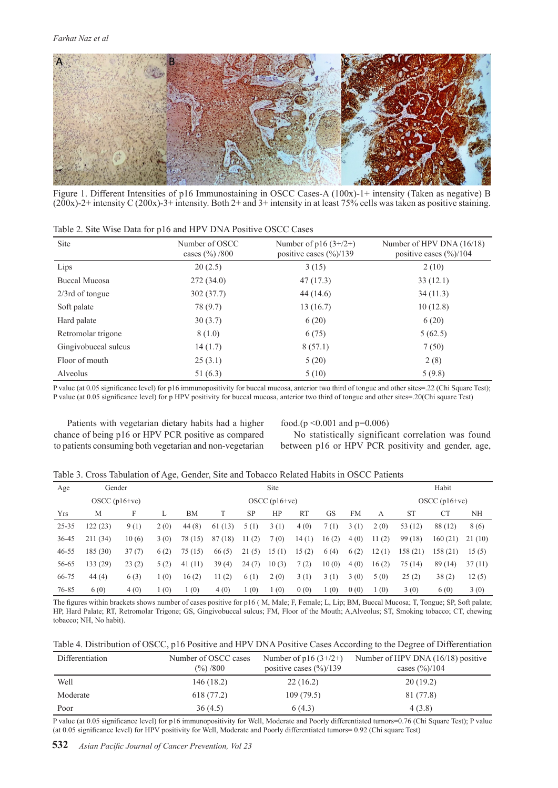

Figure 1. Different Intensities of p16 Immunostaining in OSCC Cases-A (100x)-1+ intensity (Taken as negative) B  $(200x)$ -2+ intensity C  $(200x)$ -3+ intensity. Both 2+ and 3+ intensity in at least 75% cells was taken as positive staining.

| Site                 | Number of OSCC<br>cases $(\frac{9}{0})/800$ | Number of $p16(3+/2+)$<br>positive cases $(\frac{6}{139})$ | Number of HPV DNA (16/18)<br>positive cases $(\frac{6}{6})/104$ |
|----------------------|---------------------------------------------|------------------------------------------------------------|-----------------------------------------------------------------|
| Lips                 | 20(2.5)                                     | 3(15)                                                      | 2(10)                                                           |
| <b>Buccal Mucosa</b> | 272(34.0)                                   | 47(17.3)                                                   | 33(12.1)                                                        |
| $2/3$ rd of tongue   | 302(37.7)                                   | 44(14.6)                                                   | 34(11.3)                                                        |
| Soft palate          | 78 (9.7)                                    | 13(16.7)                                                   | 10(12.8)                                                        |
| Hard palate          | 30(3.7)                                     | 6(20)                                                      | 6(20)                                                           |
| Retromolar trigone   | 8(1.0)                                      | 6(75)                                                      | 5(62.5)                                                         |
| Gingivobuccal sulcus | 14(1.7)                                     | 8(57.1)                                                    | 7(50)                                                           |
| Floor of mouth       | 25(3.1)                                     | 5(20)                                                      | 2(8)                                                            |
| Alveolus             | 51(6.3)                                     | 5(10)                                                      | 5(9.8)                                                          |

Table 2. Site Wise Data for p16 and HPV DNA Positive OSCC Cases

P value (at 0.05 significance level) for p16 immunopositivity for buccal mucosa, anterior two third of tongue and other sites=.22 (Chi Square Test); P value (at 0.05 significance level) for p HPV positivity for buccal mucosa, anterior two third of tongue and other sites=.20(Chi square Test)

Patients with vegetarian dietary habits had a higher chance of being p16 or HPV PCR positive as compared to patients consuming both vegetarian and non-vegetarian

food.(p <0.001 and p=0.006)

No statistically significant correlation was found between p16 or HPV PCR positivity and gender, age,

|  |  |  |  | Table 3. Cross Tabulation of Age, Gender, Site and Tobacco Related Habits in OSCC Patients |
|--|--|--|--|--------------------------------------------------------------------------------------------|
|  |  |  |  |                                                                                            |

| Age        | Gender          |       |      | <b>Site</b>     |            |           |       |           |       |                 | Habit |           |           |         |
|------------|-----------------|-------|------|-----------------|------------|-----------|-------|-----------|-------|-----------------|-------|-----------|-----------|---------|
|            | $OSCC$ (p16+ve) |       |      | $OSCC$ (p16+ve) |            |           |       |           |       | $OSCC$ (p16+ve) |       |           |           |         |
| <b>Yrs</b> | M               | F     |      | <b>BM</b>       |            | <b>SP</b> | HP    | <b>RT</b> | GS    | <b>FM</b>       | А     | <b>ST</b> | <b>CT</b> | NH      |
| $25 - 35$  | 122 (23)        | 9(1)  | 2(0) | 44(8)           | (13)<br>61 | 5(1)      | 3(1)  | 4(0)      | 7(1)  | 3(1)            | 2(0)  | 53 (12)   | 88 (12)   | 8 (6)   |
| $36 - 45$  | 211(34)         | 10(6) | 3(0) | 78 (15)         | 87(18)     | 11(2)     | 7(0)  | 14(1)     | 16(2) | 4(0)            | 11(2) | 99(18)    | 160(21)   | 21 (10) |
| $46 - 55$  | 185 (30)        | 37(7) | 6(2) | 75(15)          | 66(5)      | 21(5)     | 15(1) | 15(2)     | 6(4)  | 6(2)            | 12(1) | 158 (21)  | 158(21)   | 15(5)   |
| 56-65      | 133 (29)        | 23(2) | 5(2) | 41(11)          | 39(4)      | 24(7)     | 10(3) | 7(2)      | 10(0) | 4(0)            | 16(2) | 75 (14)   | 89 (14)   | 37(11)  |
| 66-75      | 44(4)           | 6(3)  | 1(0) | 16(2)           | 11(2)      | 6(1)      | 2(0)  | 3(1)      | 3(1)  | 3(0)            | 5(0)  | 25(2)     | 38(2)     | 12(5)   |
| 76-85      | 6(0)            | 4(0)  | 1(0) | 1(0)            | 4(0)       | 1(0)      | 1(0)  | 0(0)      | 1(0)  | 0(0)            | 1(0)  | 3(0)      | 6(0)      | 3(0)    |

The figures within brackets shows number of cases positive for p16 ( M, Male; F, Female; L, Lip; BM, Buccal Mucosa; T, Tongue; SP, Soft palate; HP, Hard Palate; RT, Retromolar Trigone; GS, Gingivobuccal sulcus; FM, Floor of the Mouth; A,Alveolus; ST, Smoking tobacco; CT, chewing tobacco; NH, No habit).

|  | Table 4. Distribution of OSCC, p16 Positive and HPV DNA Positive Cases According to the Degree of Differentiation |
|--|-------------------------------------------------------------------------------------------------------------------|
|  |                                                                                                                   |

| Differentiation | Number of OSCC cases | Number of $p16(3+/2+)$              | Number of HPV DNA $(16/18)$ positive |
|-----------------|----------------------|-------------------------------------|--------------------------------------|
|                 | $(\%)$ /800          | positive cases $(\frac{9}{0})$ /139 | cases $(\frac{9}{0})/104$            |
| Well            | 146 (18.2)           | 22(16.2)                            | 20(19.2)                             |
| Moderate        | 618 (77.2)           | 109(79.5)                           | 81 (77.8)                            |
| Poor            | 36(4.5)              | 6(4.3)                              | 4(3.8)                               |

P value (at 0.05 significance level) for p16 immunopositivity for Well, Moderate and Poorly differentiated tumors=0.76 (Chi Square Test); P value (at 0.05 significance level) for HPV positivity for Well, Moderate and Poorly differentiated tumors= 0.92 (Chi square Test)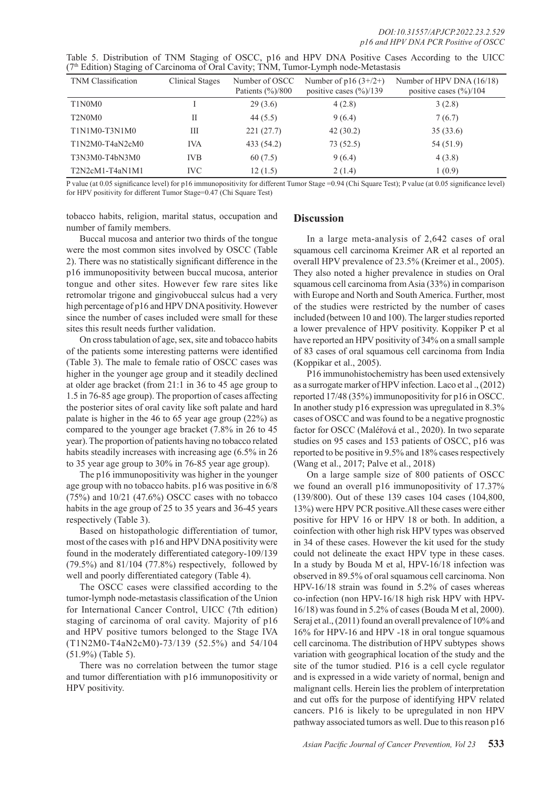| <b>TNM Classification</b>                    | Clinical Stages | Number of OSCC<br>Patients $(\frac{9}{6})/800$ | Number of $p16(3+/2+)$<br>positive cases $(\frac{9}{6})/139$ | Number of HPV DNA (16/18)<br>positive cases $(\frac{9}{0})/104$ |
|----------------------------------------------|-----------------|------------------------------------------------|--------------------------------------------------------------|-----------------------------------------------------------------|
| T1N0M0                                       |                 | 29(3.6)                                        | 4(2.8)                                                       | 3(2.8)                                                          |
| T <sub>2</sub> N <sub>0</sub> M <sub>0</sub> | Н               | 44 $(5.5)$                                     | 9(6.4)                                                       | 7(6.7)                                                          |
| T1N1M0-T3N1M0                                | Ш               | 221(27.7)                                      | 42(30.2)                                                     | 35(33.6)                                                        |
| $T1N2M0-T4aN2cM0$                            | <b>IVA</b>      | 433 (54.2)                                     | 73 (52.5)                                                    | 54 (51.9)                                                       |
| T3N3M0-T4bN3M0                               | <b>IVB</b>      | 60(7.5)                                        | 9(6.4)                                                       | 4(3.8)                                                          |
| $T2N2cM1-T4aN1M1$                            | <b>IVC</b>      | 12(1.5)                                        | 2(1.4)                                                       | 1(0.9)                                                          |

Table 5. Distribution of TNM Staging of OSCC, p16 and HPV DNA Positive Cases According to the UICC (7th Edition) Staging of Carcinoma of Oral Cavity; TNM, Tumor-Lymph node-Metastasis

P value (at 0.05 significance level) for p16 immunopositivity for different Tumor Stage =0.94 (Chi Square Test); P value (at 0.05 significance level) for HPV positivity for different Tumor Stage=0.47 (Chi Square Test)

tobacco habits, religion, marital status, occupation and number of family members.

## **Discussion**

Buccal mucosa and anterior two thirds of the tongue were the most common sites involved by OSCC (Table 2). There was no statistically significant difference in the p16 immunopositivity between buccal mucosa, anterior tongue and other sites. However few rare sites like retromolar trigone and gingivobuccal sulcus had a very high percentage of p16 and HPV DNA positivity. However since the number of cases included were small for these sites this result needs further validation.

On cross tabulation of age, sex, site and tobacco habits of the patients some interesting patterns were identified (Table 3). The male to female ratio of OSCC cases was higher in the younger age group and it steadily declined at older age bracket (from 21:1 in 36 to 45 age group to 1.5 in 76-85 age group). The proportion of cases affecting the posterior sites of oral cavity like soft palate and hard palate is higher in the 46 to 65 year age group (22%) as compared to the younger age bracket (7.8% in 26 to 45 year). The proportion of patients having no tobacco related habits steadily increases with increasing age (6.5% in 26 to 35 year age group to 30% in 76-85 year age group).

The p16 immunopositivity was higher in the younger age group with no tobacco habits. p16 was positive in 6/8  $(75%)$  and  $10/21$   $(47.6%)$  OSCC cases with no tobacco habits in the age group of 25 to 35 years and 36-45 years respectively (Table 3).

Based on histopathologic differentiation of tumor, most of the cases with p16 and HPV DNA positivity were found in the moderately differentiated category-109/139  $(79.5\%)$  and  $81/104$   $(77.8\%)$  respectively, followed by well and poorly differentiated category (Table 4).

The OSCC cases were classified according to the tumor-lymph node-metastasis classification of the Union for International Cancer Control, UICC (7th edition) staging of carcinoma of oral cavity. Majority of p16 and HPV positive tumors belonged to the Stage IVA (T1N2M0-T4aN2cM0)-73/139 (52.5%) and 54/104 (51.9%) (Table 5).

There was no correlation between the tumor stage and tumor differentiation with p16 immunopositivity or HPV positivity.

In a large meta-analysis of 2,642 cases of oral squamous cell carcinoma Kreimer AR et al reported an overall HPV prevalence of 23.5% (Kreimer et al., 2005). They also noted a higher prevalence in studies on Oral squamous cell carcinoma from Asia (33%) in comparison with Europe and North and South America. Further, most of the studies were restricted by the number of cases included (between 10 and 100). The larger studies reported a lower prevalence of HPV positivity. Koppiker P et al have reported an HPV positivity of 34% on a small sample of 83 cases of oral squamous cell carcinoma from India (Koppikar et al., 2005).

P16 immunohistochemistry has been used extensively as a surrogate marker of HPV infection. Laco et al ., (2012) reported 17/48 (35%) immunopositivity for p16 in OSCC. In another study p16 expression was upregulated in 8.3% cases of OSCC and was found to be a negative prognostic factor for OSCC (Maléřová et al., 2020). In two separate studies on 95 cases and 153 patients of OSCC, p16 was reported to be positive in 9.5% and 18% cases respectively (Wang et al., 2017; Palve et al., 2018)

On a large sample size of 800 patients of OSCC we found an overall p16 immunopositivity of 17.37% (139/800). Out of these 139 cases 104 cases (104,800, 13%) were HPV PCR positive.All these cases were either positive for HPV 16 or HPV 18 or both. In addition, a coinfection with other high risk HPV types was observed in 34 of these cases. However the kit used for the study could not delineate the exact HPV type in these cases. In a study by Bouda M et al, HPV-16/18 infection was observed in 89.5% of oral squamous cell carcinoma. Non HPV-16/18 strain was found in 5.2% of cases whereas co-infection (non HPV-16/18 high risk HPV with HPV-16/18) was found in 5.2% of cases (Bouda M et al, 2000). Seraj et al., (2011) found an overall prevalence of 10% and 16% for HPV-16 and HPV -18 in oral tongue squamous cell carcinoma. The distribution of HPV subtypes shows variation with geographical location of the study and the site of the tumor studied. P16 is a cell cycle regulator and is expressed in a wide variety of normal, benign and malignant cells. Herein lies the problem of interpretation and cut offs for the purpose of identifying HPV related cancers. P16 is likely to be upregulated in non HPV pathway associated tumors as well. Due to this reason p16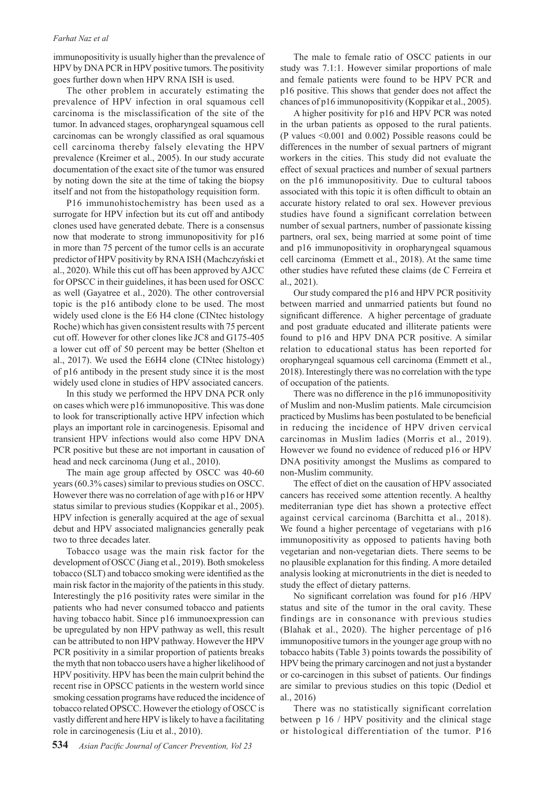#### *Farhat Naz et al*

immunopositivity is usually higher than the prevalence of HPV by DNA PCR in HPV positive tumors. The positivity goes further down when HPV RNA ISH is used.

The other problem in accurately estimating the prevalence of HPV infection in oral squamous cell carcinoma is the misclassification of the site of the tumor. In advanced stages, oropharyngeal squamous cell carcinomas can be wrongly classified as oral squamous cell carcinoma thereby falsely elevating the HPV prevalence (Kreimer et al., 2005). In our study accurate documentation of the exact site of the tumor was ensured by noting down the site at the time of taking the biopsy itself and not from the histopathology requisition form.

P16 immunohistochemistry has been used as a surrogate for HPV infection but its cut off and antibody clones used have generated debate. There is a consensus now that moderate to strong immunopositivity for p16 in more than 75 percent of the tumor cells is an accurate predictor of HPV positivity by RNA ISH (Machczyński et al., 2020). While this cut off has been approved by AJCC for OPSCC in their guidelines, it has been used for OSCC as well (Gayatree et al., 2020). The other controversial topic is the p16 antibody clone to be used. The most widely used clone is the E6 H4 clone (CINtec histology Roche) which has given consistent results with 75 percent cut off. However for other clones like JC8 and G175-405 a lower cut off of 50 percent may be better (Shelton et al., 2017). We used the E6H4 clone (CINtec histology) of p16 antibody in the present study since it is the most widely used clone in studies of HPV associated cancers.

In this study we performed the HPV DNA PCR only on cases which were p16 immunopositive. This was done to look for transcriptionally active HPV infection which plays an important role in carcinogenesis. Episomal and transient HPV infections would also come HPV DNA PCR positive but these are not important in causation of head and neck carcinoma (Jung et al., 2010).

The main age group affected by OSCC was 40-60 years (60.3% cases) similar to previous studies on OSCC. However there was no correlation of age with p16 or HPV status similar to previous studies (Koppikar et al., 2005). HPV infection is generally acquired at the age of sexual debut and HPV associated malignancies generally peak two to three decades later.

Tobacco usage was the main risk factor for the development of OSCC (Jiang et al., 2019). Both smokeless tobacco (SLT) and tobacco smoking were identified as the main risk factor in the majority of the patients in this study. Interestingly the p16 positivity rates were similar in the patients who had never consumed tobacco and patients having tobacco habit. Since p16 immunoexpression can be upregulated by non HPV pathway as well, this result can be attributed to non HPV pathway. However the HPV PCR positivity in a similar proportion of patients breaks the myth that non tobacco users have a higher likelihood of HPV positivity. HPV has been the main culprit behind the recent rise in OPSCC patients in the western world since smoking cessation programs have reduced the incidence of tobacco related OPSCC. However the etiology of OSCC is vastly different and here HPV is likely to have a facilitating role in carcinogenesis (Liu et al., 2010).

The male to female ratio of OSCC patients in our study was 7.1:1. However similar proportions of male and female patients were found to be HPV PCR and p16 positive. This shows that gender does not affect the chances of p16 immunopositivity (Koppikar et al., 2005).

A higher positivity for p16 and HPV PCR was noted in the urban patients as opposed to the rural patients. (P values <0.001 and 0.002) Possible reasons could be differences in the number of sexual partners of migrant workers in the cities. This study did not evaluate the effect of sexual practices and number of sexual partners on the p16 immunopositivity. Due to cultural taboos associated with this topic it is often difficult to obtain an accurate history related to oral sex. However previous studies have found a significant correlation between number of sexual partners, number of passionate kissing partners, oral sex, being married at some point of time and p16 immunopositivity in oropharyngeal squamous cell carcinoma (Emmett et al., 2018). At the same time other studies have refuted these claims (de C Ferreira et al., 2021).

Our study compared the p16 and HPV PCR positivity between married and unmarried patients but found no significant difference. A higher percentage of graduate and post graduate educated and illiterate patients were found to p16 and HPV DNA PCR positive. A similar relation to educational status has been reported for oropharyngeal squamous cell carcinoma (Emmett et al., 2018). Interestingly there was no correlation with the type of occupation of the patients.

There was no difference in the p16 immunopositivity of Muslim and non-Muslim patients. Male circumcision practiced by Muslims has been postulated to be beneficial in reducing the incidence of HPV driven cervical carcinomas in Muslim ladies (Morris et al., 2019). However we found no evidence of reduced p16 or HPV DNA positivity amongst the Muslims as compared to non-Muslim community.

The effect of diet on the causation of HPV associated cancers has received some attention recently. A healthy mediterranian type diet has shown a protective effect against cervical carcinoma (Barchitta et al., 2018). We found a higher percentage of vegetarians with p16 immunopositivity as opposed to patients having both vegetarian and non-vegetarian diets. There seems to be no plausible explanation for this finding. A more detailed analysis looking at micronutrients in the diet is needed to study the effect of dietary patterns.

No significant correlation was found for p16 /HPV status and site of the tumor in the oral cavity. These findings are in consonance with previous studies (Blahak et al., 2020). The higher percentage of p16 immunopositive tumors in the younger age group with no tobacco habits (Table 3) points towards the possibility of HPV being the primary carcinogen and not just a bystander or co-carcinogen in this subset of patients. Our findings are similar to previous studies on this topic (Dediol et al., 2016)

There was no statistically significant correlation between p 16 / HPV positivity and the clinical stage or histological differentiation of the tumor. P16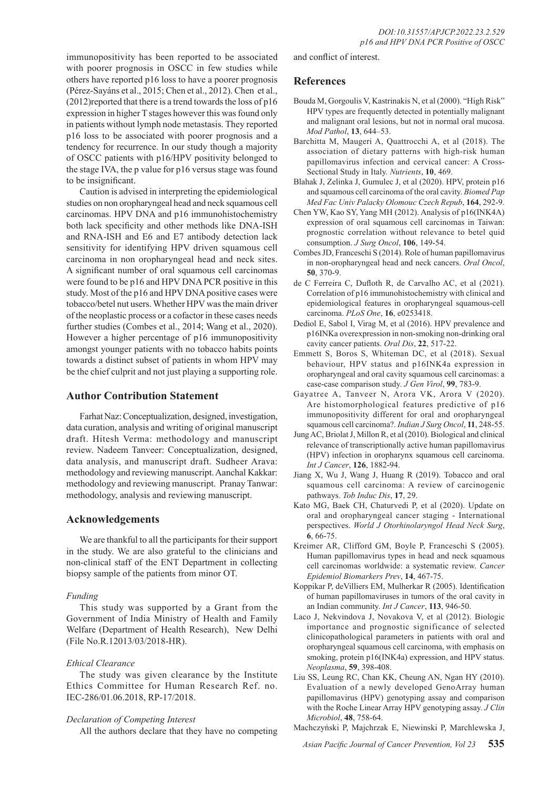immunopositivity has been reported to be associated with poorer prognosis in OSCC in few studies while others have reported p16 loss to have a poorer prognosis (Pérez-Sayáns et al., 2015; Chen et al., 2012). Chen et al., (2012)reported that there is a trend towards the loss of p16 expression in higher T stages however this was found only in patients without lymph node metastasis. They reported p16 loss to be associated with poorer prognosis and a tendency for recurrence. In our study though a majority of OSCC patients with p16/HPV positivity belonged to the stage IVA, the p value for p16 versus stage was found to be insignificant.

Caution is advised in interpreting the epidemiological studies on non oropharyngeal head and neck squamous cell carcinomas. HPV DNA and p16 immunohistochemistry both lack specificity and other methods like DNA-ISH and RNA-ISH and E6 and E7 antibody detection lack sensitivity for identifying HPV driven squamous cell carcinoma in non oropharyngeal head and neck sites. A significant number of oral squamous cell carcinomas were found to be p16 and HPV DNA PCR positive in this study. Most of the p16 and HPV DNA positive cases were tobacco/betel nut users. Whether HPV was the main driver of the neoplastic process or a cofactor in these cases needs further studies (Combes et al., 2014; Wang et al., 2020). However a higher percentage of p16 immunopositivity amongst younger patients with no tobacco habits points towards a distinct subset of patients in whom HPV may be the chief culprit and not just playing a supporting role.

## **Author Contribution Statement**

Farhat Naz: Conceptualization, designed, investigation, data curation, analysis and writing of original manuscript draft. Hitesh Verma: methodology and manuscript review. Nadeem Tanveer: Conceptualization, designed, data analysis, and manuscript draft. Sudheer Arava: methodology and reviewing manuscript. Aanchal Kakkar: methodology and reviewing manuscript. Pranay Tanwar: methodology, analysis and reviewing manuscript.

## **Acknowledgements**

We are thankful to all the participants for their support in the study. We are also grateful to the clinicians and non-clinical staff of the ENT Department in collecting biopsy sample of the patients from minor OT.

## *Funding*

This study was supported by a Grant from the Government of India Ministry of Health and Family Welfare (Department of Health Research), New Delhi (File No.R.12013/03/2018-HR).

## *Ethical Clearance*

The study was given clearance by the Institute Ethics Committee for Human Research Ref. no. IEC-286/01.06.2018, RP-17/2018.

## *Declaration of Competing Interest*

All the authors declare that they have no competing

and conflict of interest.

## **References**

- Bouda M, Gorgoulis V, Kastrinakis N, et al (2000). "High Risk" HPV types are frequently detected in potentially malignant and malignant oral lesions, but not in normal oral mucosa. *Mod Pathol*, **13**, 644–53.
- Barchitta M, Maugeri A, Quattrocchi A, et al (2018). The association of dietary patterns with high-risk human papillomavirus infection and cervical cancer: A Cross-Sectional Study in Italy. *Nutrients*, **10**, 469.
- Blahak J, Zelinka J, Gumulec J, et al (2020). HPV, protein p16 and squamous cell carcinoma of the oral cavity. *Biomed Pap Med Fac Univ Palacky Olomouc Czech Repub*, **164**, 292-9.
- Chen YW, Kao SY, Yang MH (2012). Analysis of p16(INK4A) expression of oral squamous cell carcinomas in Taiwan: prognostic correlation without relevance to betel quid consumption. *J Surg Oncol*, **106**, 149-54.
- Combes JD, Franceschi S (2014). Role of human papillomavirus in non-oropharyngeal head and neck cancers. *Oral Oncol*, **50**, 370-9.
- de C Ferreira C, Dufloth R, de Carvalho AC, et al (2021). Correlation of p16 immunohistochemistry with clinical and epidemiological features in oropharyngeal squamous-cell carcinoma. *PLoS One*, **16**, e0253418.
- Dediol E, Sabol I, Virag M, et al (2016). HPV prevalence and p16INKa overexpression in non-smoking non-drinking oral cavity cancer patients. *Oral Dis*, **22**, 517-22.
- Emmett S, Boros S, Whiteman DC, et al (2018). Sexual behaviour, HPV status and p16INK4a expression in oropharyngeal and oral cavity squamous cell carcinomas: a case-case comparison study. *J Gen Virol*, **99**, 783-9.
- Gayatree A, Tanveer N, Arora VK, Arora V (2020). Are histomorphological features predictive of p16 immunopositivity different for oral and oropharyngeal squamous cell carcinoma?. *Indian J Surg Oncol*, **11**, 248-55.
- Jung AC, Briolat J, Millon R, et al (2010). Biological and clinical relevance of transcriptionally active human papillomavirus (HPV) infection in oropharynx squamous cell carcinoma. *Int J Cancer*, **126**, 1882-94.
- Jiang X, Wu J, Wang J, Huang R (2019). Tobacco and oral squamous cell carcinoma: A review of carcinogenic pathways. *Tob Induc Dis*, **17**, 29.
- Kato MG, Baek CH, Chaturvedi P, et al (2020). Update on oral and oropharyngeal cancer staging - International perspectives. *World J Otorhinolaryngol Head Neck Surg*, **6**, 66-75.
- Kreimer AR, Clifford GM, Boyle P, Franceschi S (2005). Human papillomavirus types in head and neck squamous cell carcinomas worldwide: a systematic review. *Cancer Epidemiol Biomarkers Prev*, **14**, 467-75.
- Koppikar P, deVilliers EM, Mulherkar R (2005). Identification of human papillomaviruses in tumors of the oral cavity in an Indian community. *Int J Cancer*, **113**, 946-50.
- Laco J, Nekvindova J, Novakova V, et al (2012). Biologic importance and prognostic significance of selected clinicopathological parameters in patients with oral and oropharyngeal squamous cell carcinoma, with emphasis on smoking, protein p16(INK4a) expression, and HPV status. *Neoplasma*, **59**, 398-408.
- Liu SS, Leung RC, Chan KK, Cheung AN, Ngan HY (2010). Evaluation of a newly developed GenoArray human papillomavirus (HPV) genotyping assay and comparison with the Roche Linear Array HPV genotyping assay. *J Clin Microbiol*, **48**, 758-64.
- Machczyński P, Majchrzak E, Niewinski P, Marchlewska J,